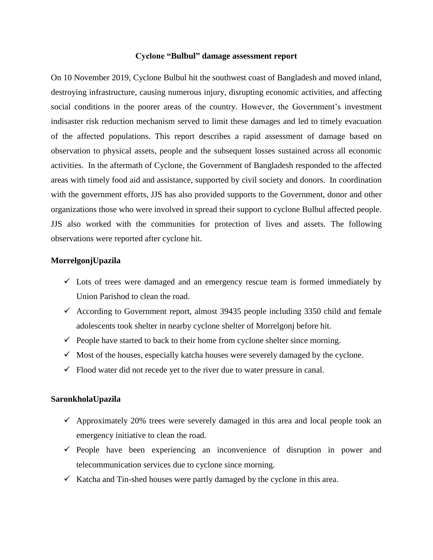#### **Cyclone "Bulbul" damage assessment report**

On 10 November 2019, Cyclone Bulbul hit the southwest coast of Bangladesh and moved inland, destroying infrastructure, causing numerous injury, disrupting economic activities, and affecting social conditions in the poorer areas of the country. However, the Government's investment indisaster risk reduction mechanism served to limit these damages and led to timely evacuation of the affected populations. This report describes a rapid assessment of damage based on observation to physical assets, people and the subsequent losses sustained across all economic activities. In the aftermath of Cyclone, the Government of Bangladesh responded to the affected areas with timely food aid and assistance, supported by civil society and donors. In coordination with the government efforts, JJS has also provided supports to the Government, donor and other organizations those who were involved in spread their support to cyclone Bulbul affected people. JJS also worked with the communities for protection of lives and assets. The following observations were reported after cyclone hit.

### **MorrelgonjUpazila**

- $\checkmark$  Lots of trees were damaged and an emergency rescue team is formed immediately by Union Parishod to clean the road.
- According to Government report, almost 39435 people including 3350 child and female adolescents took shelter in nearby cyclone shelter of Morrelgonj before hit.
- $\checkmark$  People have started to back to their home from cyclone shelter since morning.
- $\checkmark$  Most of the houses, especially katcha houses were severely damaged by the cyclone.
- $\checkmark$  Flood water did not recede yet to the river due to water pressure in canal.

#### **SaronkholaUpazila**

- $\checkmark$  Approximately 20% trees were severely damaged in this area and local people took an emergency initiative to clean the road.
- $\checkmark$  People have been experiencing an inconvenience of disruption in power and telecommunication services due to cyclone since morning.
- $\checkmark$  Katcha and Tin-shed houses were partly damaged by the cyclone in this area.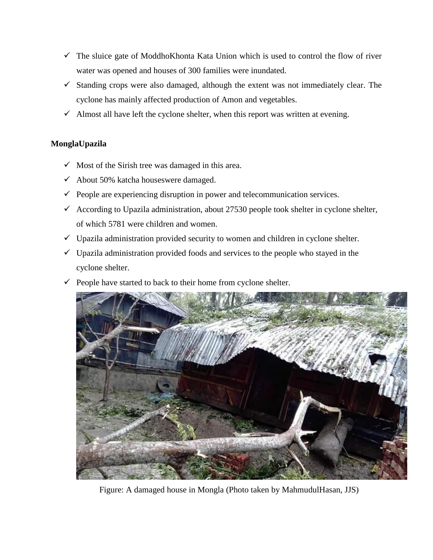- $\checkmark$  The sluice gate of ModdhoKhonta Kata Union which is used to control the flow of river water was opened and houses of 300 families were inundated.
- $\checkmark$  Standing crops were also damaged, although the extent was not immediately clear. The cyclone has mainly affected production of Amon and vegetables.
- $\checkmark$  Almost all have left the cyclone shelter, when this report was written at evening.

# **MonglaUpazila**

- $\checkmark$  Most of the Sirish tree was damaged in this area.
- $\checkmark$  About 50% katcha houseswere damaged.
- $\checkmark$  People are experiencing disruption in power and telecommunication services.
- $\checkmark$  According to Upazila administration, about 27530 people took shelter in cyclone shelter, of which 5781 were children and women.
- $\checkmark$  Upazila administration provided security to women and children in cyclone shelter.
- $\checkmark$  Upazila administration provided foods and services to the people who stayed in the cyclone shelter.
- $\checkmark$  People have started to back to their home from cyclone shelter.



Figure: A damaged house in Mongla (Photo taken by MahmudulHasan, JJS)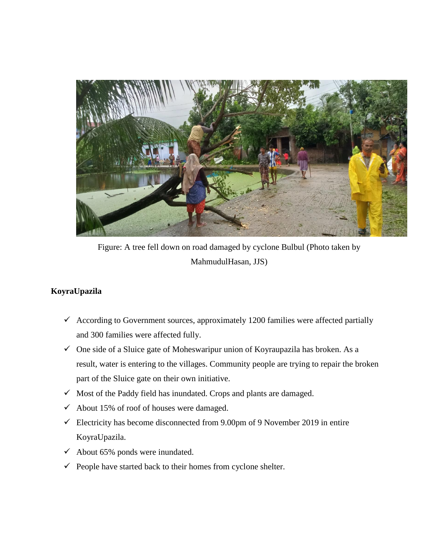

Figure: A tree fell down on road damaged by cyclone Bulbul (Photo taken by MahmudulHasan, JJS)

# **KoyraUpazila**

- $\checkmark$  According to Government sources, approximately 1200 families were affected partially and 300 families were affected fully.
- $\checkmark$  One side of a Sluice gate of Moheswaripur union of Koyraupazila has broken. As a result, water is entering to the villages. Community people are trying to repair the broken part of the Sluice gate on their own initiative.
- $\checkmark$  Most of the Paddy field has inundated. Crops and plants are damaged.
- $\checkmark$  About 15% of roof of houses were damaged.
- $\checkmark$  Electricity has become disconnected from 9.00pm of 9 November 2019 in entire KoyraUpazila.
- $\checkmark$  About 65% ponds were inundated.
- $\checkmark$  People have started back to their homes from cyclone shelter.